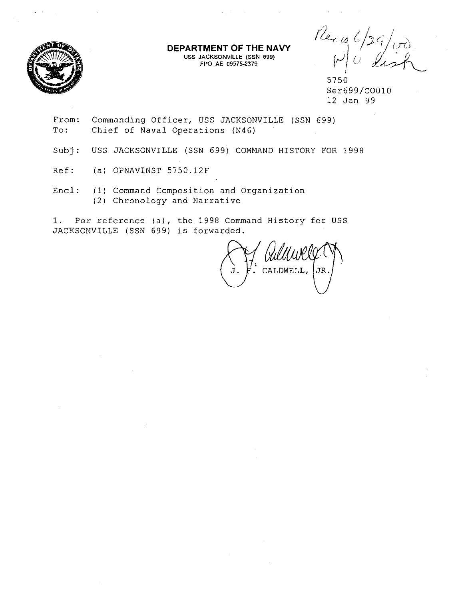

**DEPARTMENT OF THE NAVY** USS JACKSONVILLE (SSN 699) FPO AE 09575-2379

 $12.4/10$  $M$  $0$  dish

5750 Ser699/C0010 12 Jan 99

- From: Commanding Officer, USS JACKSONVILLE (SSN 699) To: Chief of Naval Operations (N46)
- Subj: USS JACKSONVILLE (SSN 699) COMMAND HISTORY FOR 1998
- Ref: (a) OPNAVINST 5750.12F
- Encl: (1) Command Composition and Organization (2) Chronology and Narrative

1. Per reference (a), the 1998 Command History for USS JACKSONVILLE (SSN 699) is forwarded.

CALDWELL, JR.

 $\sim 10$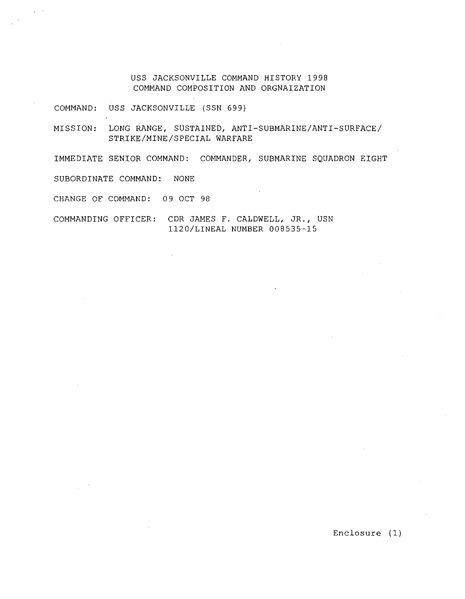USS JACKSONVILLE COMMAND HISTORY 1998 COMMAND COMPOSITION AND ORGNAIZATION

COMMAND: USS JACKSONVILLE (SSN 699)

MISSION: LONG RANGE, SUSTAINED, ANTI-SUBMARINE/ANTI-SURFACE/ STRIKE/MINE/SPECIAL WARFARE

IMMEDIATE SENIOR COMMAND: COMMANDER, SUBMARINE SQUADRON EIGHT

SUBORDINATE COMMAND: NONE

CHANGE OF COMMAND: 09 OCT 98

COMMANDING OFFICER: CDR JAMES F. CALDWELL, JR., USN 1120/LINEAL NUMBER 008535-15

Enclosure (1)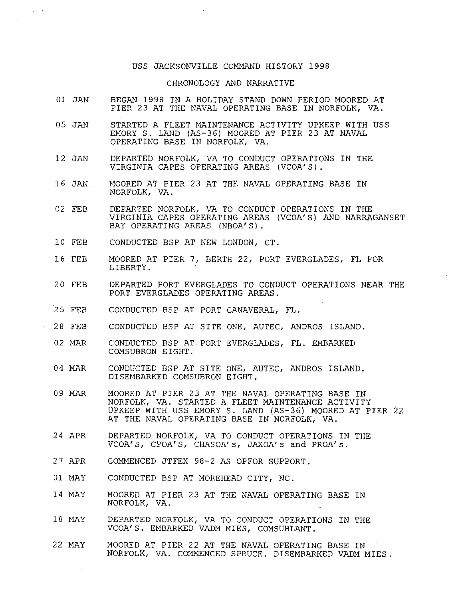## USS JACKSONVILLE COMMAND HISTORY 1998

## CHRONOLOGY AND NARRATIVE

- 01 JAN BEGAN 1998 IN A HOLIDAY STAND DOWN PERIOD MOORED AT PIER 23 AT THE NAVAL OPERATING BASE IN NORFOLK, VA.
- 05 JAN STARTED A FLEET MAINTENANCE ACTIVITY UPKEEP WITH USS EMORY S. LAND (AS-36) MOORED AT PIER 23 AT NAVAL OPERATING BASE IN NORFOLK, VA.
- 12 JAN DEPARTED NORFOLK, VA TO CONDUCT OPERATIONS IN THE VIRGINIA CAPES OPERATING AREAS (VCOA'S).
- 16 JAN MOORED AT PIER 23 AT THE NAVAL OPERATING BASE IN NORFOLK, VA.
- 02 FEB DEPARTED NORFOLK, VA TO CONDUCT OPERATIONS IN THE VIRGINIA CAPES OPERATING AREAS (VCOA'S) AND NARRAGANSET BAY OPERATING AREAS (NBOA'S).
- 10 FEB CONDUCTED BSP AT NEW LONDON, CT.
- 16 FEB MOORED AT PIER 7, BERTH 22, PORT EVERGLADES, FL FOR LIBERTY.
- 20 FEB DEPARTED PORT EVERGLADES TO CONDUCT OPERATIONS NEAR THE PORT EVERGLADES OPERATING AREAS.
- 25 FEB CONDUCTED BSP AT PORT CANAVERAL, FL.
- 28 FEB CONDUCTED BSP AT SITE ONE, AUTEC, ANDROS ISLAND.
- 02 MAR CONDUCTED BSP AT PORT EVERGLADES, FL. EMBARKED COMSUBRON EIGHT.
- 04 MAR CONDUCTED BSP AT SITE ONE, AUTEC, ANDROS ISLAND. DISEMBARKED COMSUBRON EIGHT.
- 09 MAR MOORED AT PIER 23 AT THE NAVAL OPERATING BASE IN NORFOLK, VA. STARTED A FLEET MAINTENANCE ACTIVITY UPKEEP WITH USS EMORY S. LAND (AS-36) MOORED AT PIER 22 AT THE NAVAL OPERATING BASE IN NORFOLK, VA.
- 24 APR DEPARTED NORFOLK, VA TO CONDUCT OPERATIONS IN THE VCOA' S, CPOA' S, CHASOA' s, JAXOA' s and PROA' s.
- 27 APR COMMENCED JTFEX 98-2 AS OPFOR SUPPORT.
- 01 MAY CONDUCTED BSP AT MOREHEAD CITY, NC.
- 14 MAY MOORED AT PIER 23 AT THE NAVAL OPERATING BASE IN NORFOLK, VA.
- 18 MAY DEPARTED NORFOLK, VA TO CONDUCT OPERATIONS IN THE VCOA'S. EMBARKED VADM MIES, COMSUBLANT.
- 22 MAY MOORED AT PIER 22 AT THE NAVAL OPERATING BASE IN NORFOLK, VA. COMMENCED SPRUCE. DISEMBARKED VADM MIES.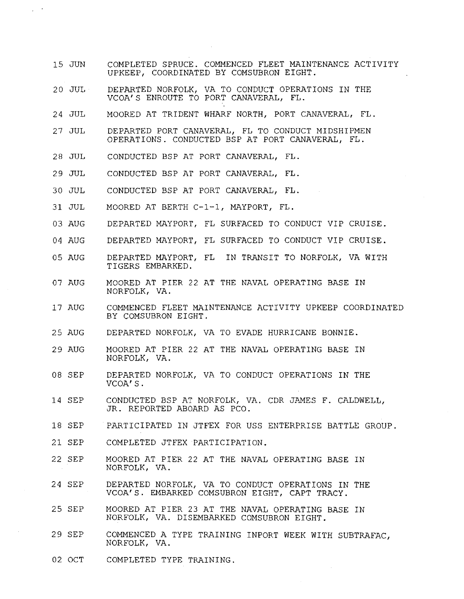- 15 JUN COMPLETED SPRUCE. COMMENCED FLEET MAINTENANCE ACTIVITY UPKEEP, COORDINATED BY COMSUBRON EIGHT.
- 20 JUL DEPARTED NORFOLK, VA TO CONDUCT OPERATIONS IN THE VCOA'S ENROUTE TO PORT CANAVERAL, FL.
- 24 JUL MOORED AT TRIDENT WHARF NORTH, PORT CANAVERAL, FL.
- 27 JUL DEPARTED PORT CANAVERAL, FL TO CONDUCT MIDSHIPMEN OPERATIONS. CONDUCTED BSP AT PORT CANAVERAL, FL.
- 28 JUL CONDUCTED BSP AT PORT CANAVERAL, FL.

 $\mathcal{L}_{\mathcal{L}}$ 

- 29 JUL CONDUCTED BSP AT PORT CANAVERAL, FL.
- 30 JUL CONDUCTED BSP AT PORT CANAVERAL, FL.
- 31 JUL MOORED AT BERTH C-1-1, MAYPORT, FL.
- 03 AUG DEPARTED MAYPORT, FL SURFACED TO CONDUCT VIP CRUISE.
- 04 AUG DEPARTED MAYPORT, FL SURFACED TO CONDUCT VIP CRUISE.
- 05 AUG DEPARTED MAYPORT, FL IN TRANSIT TO NORFOLK, VA WITH TIGERS EMBARKED.
- 07 AUG MOORED AT PIER 22 AT THE NAVAL OPERATING BASE IN NORFOLK, VA.
- 17 AUG COMMENCED FLEET MAINTENANCE ACTIVITY UPKEEP COORDINATED BY COMSUBRON EIGHT.
- 25 AUG DEPARTED NORFOLK, VA TO EVADE HURRICANE BONNIE.
- 29 AUG MOORED AT PIER 22 AT THE NAVAL OPERATING BASE IN NORFOLK, VA.
- 08 SEP DEPARTED NORFOLK, VA TO CONDUCT OPERATIONS IN THE VCOA'S.
- 14 SEP CONDUCTED BSP AT NORFOLK, VA. CDR JAMES F. CALDWELL, JR. REPORTED ABOARD AS PCO.
- 18 SEP PARTICIPATED IN JTFEX FOR USS ENTERPRISE BATTLE GROUP.
- 21 SEP COMPLETED JTFEX PARTICIPATION.
- 22 SEP MOORED AT PIER 22 AT THE NAVAL OPERATING BASE IN NORFOLK, VA.
- 24 SEP DEPARTED NORFOLK, VA TO CONDUCT OPERATIONS IN THE VCOA'S. EMBARKED COMSUBRON EIGHT, CAPT TRACY.
- 25 SEP MOORED AT PIER 23 AT THE NAVAL OPERATING BASE IN NORFOLK, VA. DISEMBARKED COMSUBRON EIGHT.
- 29 SEP COMMENCED A TYPE TRAINING INPORT WEEK WITH SUBTRAFAC, NORFOLK, VA.
- 02 OCT COMPLETED TYPE TRAINING.